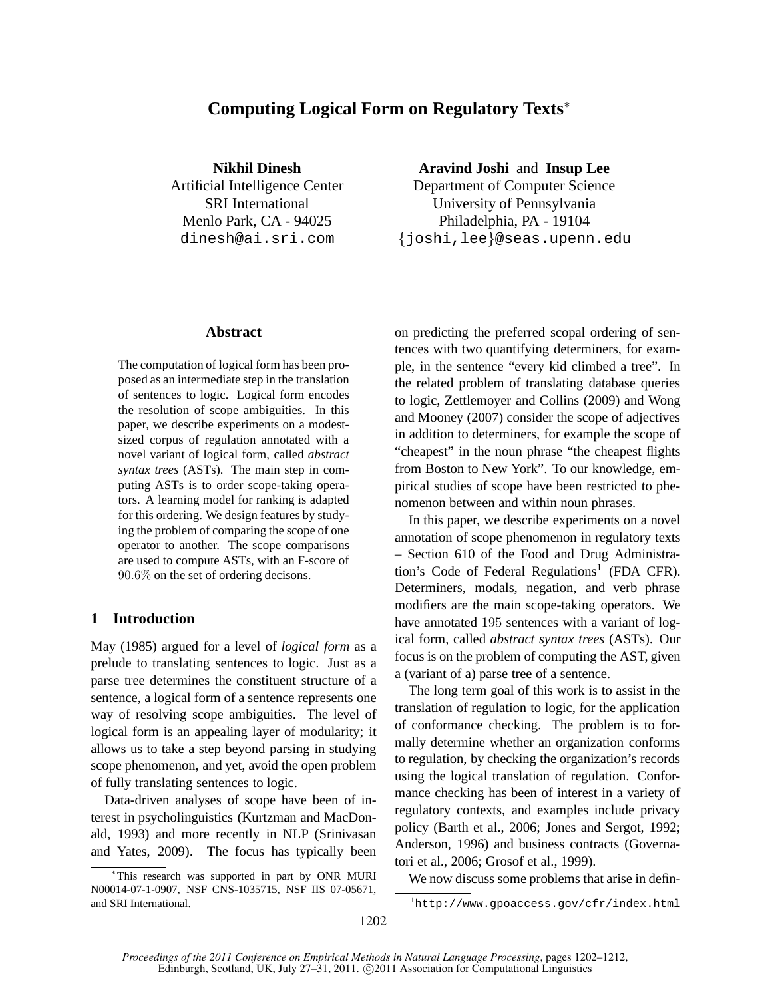# **Computing Logical Form on Regulatory Texts**<sup>∗</sup>

**Nikhil Dinesh** Artificial Intelligence Center SRI International Menlo Park, CA - 94025 dinesh@ai.sri.com

### **Abstract**

The computation of logical form has been proposed as an intermediate step in the translation of sentences to logic. Logical form encodes the resolution of scope ambiguities. In this paper, we describe experiments on a modestsized corpus of regulation annotated with a novel variant of logical form, called *abstract syntax trees* (ASTs). The main step in computing ASTs is to order scope-taking operators. A learning model for ranking is adapted for this ordering. We design features by studying the problem of comparing the scope of one operator to another. The scope comparisons are used to compute ASTs, with an F-score of 90.6% on the set of ordering decisons.

### **1 Introduction**

May (1985) argued for a level of *logical form* as a prelude to translating sentences to logic. Just as a parse tree determines the constituent structure of a sentence, a logical form of a sentence represents one way of resolving scope ambiguities. The level of logical form is an appealing layer of modularity; it allows us to take a step beyond parsing in studying scope phenomenon, and yet, avoid the open problem of fully translating sentences to logic.

Data-driven analyses of scope have been of interest in psycholinguistics (Kurtzman and MacDonald, 1993) and more recently in NLP (Srinivasan and Yates, 2009). The focus has typically been **Aravind Joshi** and **Insup Lee**

Department of Computer Science University of Pennsylvania Philadelphia, PA - 19104 {joshi,lee}@seas.upenn.edu

on predicting the preferred scopal ordering of sentences with two quantifying determiners, for example, in the sentence "every kid climbed a tree". In the related problem of translating database queries to logic, Zettlemoyer and Collins (2009) and Wong and Mooney (2007) consider the scope of adjectives in addition to determiners, for example the scope of "cheapest" in the noun phrase "the cheapest flights from Boston to New York". To our knowledge, empirical studies of scope have been restricted to phenomenon between and within noun phrases.

In this paper, we describe experiments on a novel annotation of scope phenomenon in regulatory texts – Section 610 of the Food and Drug Administration's Code of Federal Regulations<sup>1</sup> (FDA CFR). Determiners, modals, negation, and verb phrase modifiers are the main scope-taking operators. We have annotated 195 sentences with a variant of logical form, called *abstract syntax trees* (ASTs). Our focus is on the problem of computing the AST, given a (variant of a) parse tree of a sentence.

The long term goal of this work is to assist in the translation of regulation to logic, for the application of conformance checking. The problem is to formally determine whether an organization conforms to regulation, by checking the organization's records using the logical translation of regulation. Conformance checking has been of interest in a variety of regulatory contexts, and examples include privacy policy (Barth et al., 2006; Jones and Sergot, 1992; Anderson, 1996) and business contracts (Governatori et al., 2006; Grosof et al., 1999).

We now discuss some problems that arise in defin-

<sup>∗</sup> This research was supported in part by ONR MURI N00014-07-1-0907, NSF CNS-1035715, NSF IIS 07-05671, and SRI International.

<sup>1</sup>http://www.gpoaccess.gov/cfr/index.html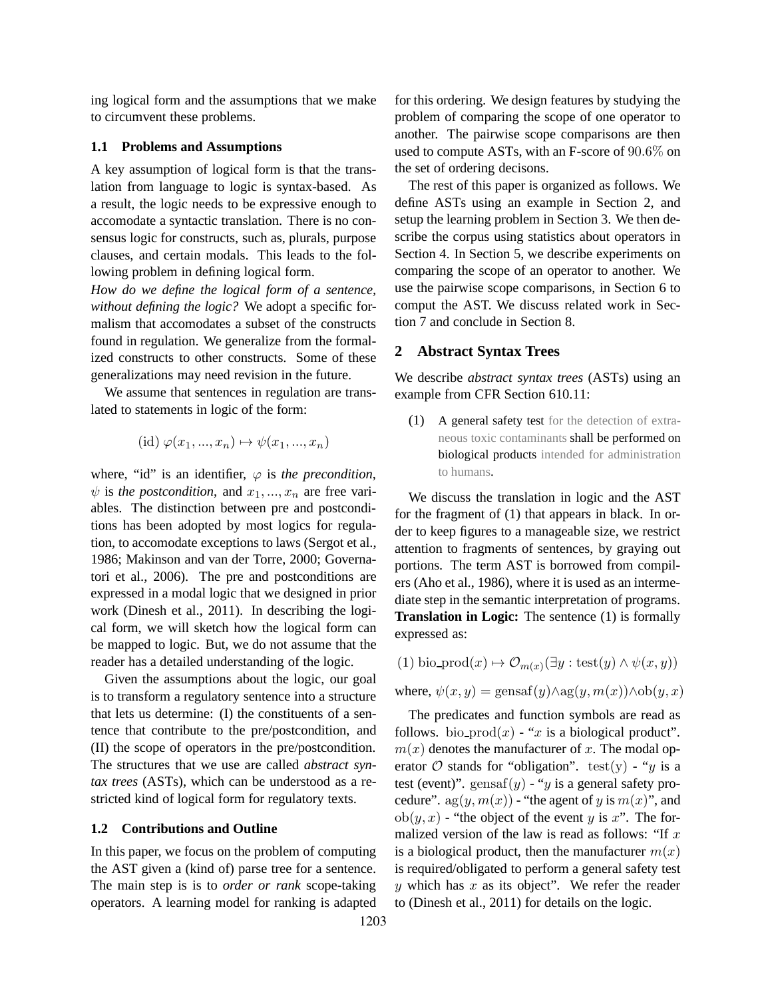ing logical form and the assumptions that we make to circumvent these problems.

#### **1.1 Problems and Assumptions**

A key assumption of logical form is that the translation from language to logic is syntax-based. As a result, the logic needs to be expressive enough to accomodate a syntactic translation. There is no consensus logic for constructs, such as, plurals, purpose clauses, and certain modals. This leads to the following problem in defining logical form.

*How do we define the logical form of a sentence, without defining the logic?* We adopt a specific formalism that accomodates a subset of the constructs found in regulation. We generalize from the formalized constructs to other constructs. Some of these generalizations may need revision in the future.

We assume that sentences in regulation are translated to statements in logic of the form:

$$
(id) \varphi(x_1, ..., x_n) \mapsto \psi(x_1, ..., x_n)
$$

where, "id" is an identifier,  $\varphi$  is the precondition,  $\psi$  is *the postcondition*, and  $x_1, ..., x_n$  are free variables. The distinction between pre and postconditions has been adopted by most logics for regulation, to accomodate exceptions to laws (Sergot et al., 1986; Makinson and van der Torre, 2000; Governatori et al., 2006). The pre and postconditions are expressed in a modal logic that we designed in prior work (Dinesh et al., 2011). In describing the logical form, we will sketch how the logical form can be mapped to logic. But, we do not assume that the reader has a detailed understanding of the logic.

Given the assumptions about the logic, our goal is to transform a regulatory sentence into a structure that lets us determine: (I) the constituents of a sentence that contribute to the pre/postcondition, and (II) the scope of operators in the pre/postcondition. The structures that we use are called *abstract syntax trees* (ASTs), which can be understood as a restricted kind of logical form for regulatory texts.

#### **1.2 Contributions and Outline**

In this paper, we focus on the problem of computing the AST given a (kind of) parse tree for a sentence. The main step is is to *order or rank* scope-taking operators. A learning model for ranking is adapted for this ordering. We design features by studying the problem of comparing the scope of one operator to another. The pairwise scope comparisons are then used to compute ASTs, with an F-score of 90.6% on the set of ordering decisons.

The rest of this paper is organized as follows. We define ASTs using an example in Section 2, and setup the learning problem in Section 3. We then describe the corpus using statistics about operators in Section 4. In Section 5, we describe experiments on comparing the scope of an operator to another. We use the pairwise scope comparisons, in Section 6 to comput the AST. We discuss related work in Section 7 and conclude in Section 8.

#### **2 Abstract Syntax Trees**

We describe *abstract syntax trees* (ASTs) using an example from CFR Section 610.11:

(1) A general safety test for the detection of extraneous toxic contaminants shall be performed on biological products intended for administration to humans.

We discuss the translation in logic and the AST for the fragment of (1) that appears in black. In order to keep figures to a manageable size, we restrict attention to fragments of sentences, by graying out portions. The term AST is borrowed from compilers (Aho et al., 1986), where it is used as an intermediate step in the semantic interpretation of programs. **Translation in Logic:** The sentence (1) is formally expressed as:

(1) bio-product
$$
(1) \text{ bio-product}(x) \mapsto \mathcal{O}_{m(x)}(\exists y : \text{test}(y) \land \psi(x, y))
$$

where,  $\psi(x, y) = \text{gensaf}(y) \wedge \text{ag}(y, m(x)) \wedge \text{ob}(y, x)$ 

The predicates and function symbols are read as follows. bio  $\text{prod}(x)$  - "x is a biological product".  $m(x)$  denotes the manufacturer of x. The modal operator  $\mathcal O$  stands for "obligation". test(y) - "y is a test (event)". gensaf $(y)$  - "y is a general safety procedure".  $ag(y, m(x))$  - "the agent of y is  $m(x)$ ", and  $ob(y, x)$  - "the object of the event y is x". The formalized version of the law is read as follows: "If  $x$ is a biological product, then the manufacturer  $m(x)$ is required/obligated to perform a general safety test  $y$  which has  $x$  as its object". We refer the reader to (Dinesh et al., 2011) for details on the logic.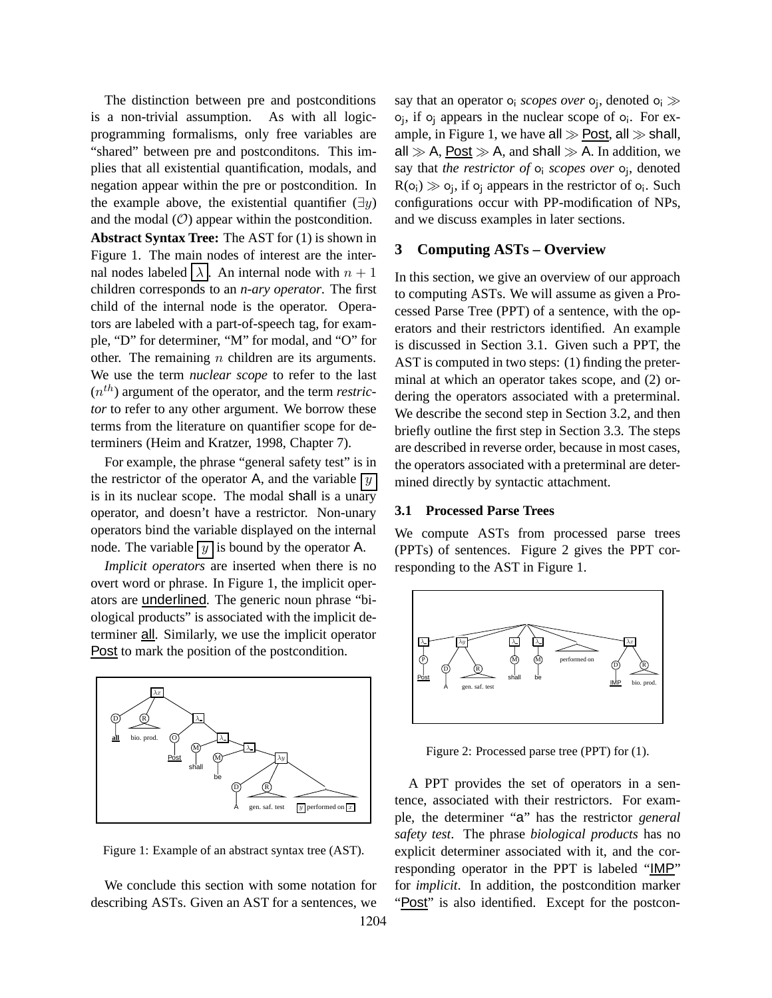The distinction between pre and postconditions is a non-trivial assumption. As with all logicprogramming formalisms, only free variables are "shared" between pre and postconditons. This implies that all existential quantification, modals, and negation appear within the pre or postcondition. In the example above, the existential quantifier  $(\exists y)$ and the modal  $(O)$  appear within the postcondition.

**Abstract Syntax Tree:** The AST for (1) is shown in Figure 1. The main nodes of interest are the internal nodes labeled  $\lambda$ . An internal node with  $n + 1$ children corresponds to an *n-ary operator*. The first child of the internal node is the operator. Operators are labeled with a part-of-speech tag, for example, "D" for determiner, "M" for modal, and "O" for other. The remaining  $n$  children are its arguments. We use the term *nuclear scope* to refer to the last  $(n<sup>th</sup>)$  argument of the operator, and the term *restrictor* to refer to any other argument. We borrow these terms from the literature on quantifier scope for determiners (Heim and Kratzer, 1998, Chapter 7).

For example, the phrase "general safety test" is in the restrictor of the operator A, and the variable  $\boxed{y}$ is in its nuclear scope. The modal shall is a unary operator, and doesn't have a restrictor. Non-unary operators bind the variable displayed on the internal node. The variable  $\boxed{y}$  is bound by the operator A.

*Implicit operators* are inserted when there is no overt word or phrase. In Figure 1, the implicit operators are underlined. The generic noun phrase "biological products" is associated with the implicit determiner all. Similarly, we use the implicit operator Post to mark the position of the postcondition.



Figure 1: Example of an abstract syntax tree (AST).

We conclude this section with some notation for describing ASTs. Given an AST for a sentences, we

say that an operator o<sub>i</sub> *scopes over* o<sub>j</sub>, denoted o<sub>i</sub> ≫ o<sub>j</sub>, if o<sub>j</sub> appears in the nuclear scope of o<sub>i</sub>. For example, in Figure 1, we have all  $\gg$  Post, all  $\gg$  shall, all  $\gg$  A, Post  $\gg$  A, and shall  $\gg$  A. In addition, we say that *the restrictor of* o<sup>i</sup> *scopes over* o<sup>j</sup> , denoted  $R(o_i) \gg o_j$ , if  $o_j$  appears in the restrictor of  $o_i$ . Such configurations occur with PP-modification of NPs, and we discuss examples in later sections.

### **3 Computing ASTs – Overview**

In this section, we give an overview of our approach to computing ASTs. We will assume as given a Processed Parse Tree (PPT) of a sentence, with the operators and their restrictors identified. An example is discussed in Section 3.1. Given such a PPT, the AST is computed in two steps: (1) finding the preterminal at which an operator takes scope, and (2) ordering the operators associated with a preterminal. We describe the second step in Section 3.2, and then briefly outline the first step in Section 3.3. The steps are described in reverse order, because in most cases, the operators associated with a preterminal are determined directly by syntactic attachment.

#### **3.1 Processed Parse Trees**

We compute ASTs from processed parse trees (PPTs) of sentences. Figure 2 gives the PPT corresponding to the AST in Figure 1.



Figure 2: Processed parse tree (PPT) for (1).

A PPT provides the set of operators in a sentence, associated with their restrictors. For example, the determiner "a" has the restrictor *general safety test*. The phrase *biological products* has no explicit determiner associated with it, and the corresponding operator in the PPT is labeled "IMP" for *implicit*. In addition, the postcondition marker "Post" is also identified. Except for the postcon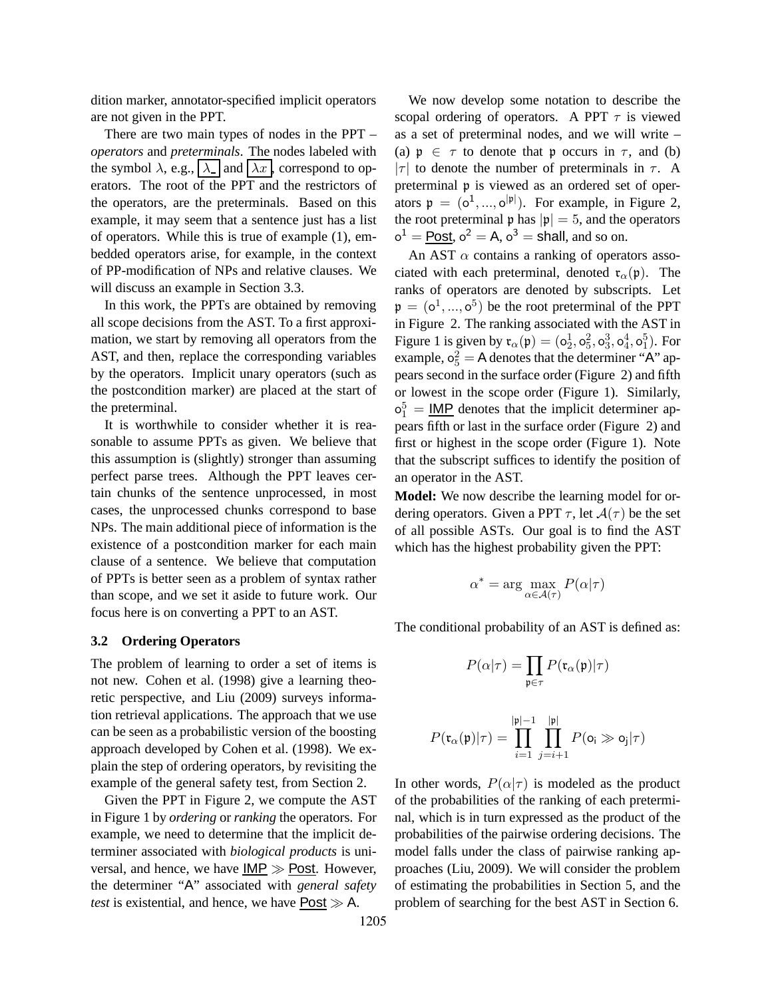dition marker, annotator-specified implicit operators are not given in the PPT.

There are two main types of nodes in the PPT – *operators* and *preterminals*. The nodes labeled with the symbol  $\lambda$ , e.g.,  $|\lambda|$  and  $|\lambda x|$ , correspond to operators. The root of the PPT and the restrictors of the operators, are the preterminals. Based on this example, it may seem that a sentence just has a list of operators. While this is true of example (1), embedded operators arise, for example, in the context of PP-modification of NPs and relative clauses. We will discuss an example in Section 3.3.

In this work, the PPTs are obtained by removing all scope decisions from the AST. To a first approximation, we start by removing all operators from the AST, and then, replace the corresponding variables by the operators. Implicit unary operators (such as the postcondition marker) are placed at the start of the preterminal.

It is worthwhile to consider whether it is reasonable to assume PPTs as given. We believe that this assumption is (slightly) stronger than assuming perfect parse trees. Although the PPT leaves certain chunks of the sentence unprocessed, in most cases, the unprocessed chunks correspond to base NPs. The main additional piece of information is the existence of a postcondition marker for each main clause of a sentence. We believe that computation of PPTs is better seen as a problem of syntax rather than scope, and we set it aside to future work. Our focus here is on converting a PPT to an AST.

#### **3.2 Ordering Operators**

The problem of learning to order a set of items is not new. Cohen et al. (1998) give a learning theoretic perspective, and Liu (2009) surveys information retrieval applications. The approach that we use can be seen as a probabilistic version of the boosting approach developed by Cohen et al. (1998). We explain the step of ordering operators, by revisiting the example of the general safety test, from Section 2.

Given the PPT in Figure 2, we compute the AST in Figure 1 by *ordering* or *ranking* the operators. For example, we need to determine that the implicit determiner associated with *biological products* is universal, and hence, we have IMP ≫ Post. However, the determiner "A" associated with *general safety test* is existential, and hence, we have  $\overline{Post} \gg A$ .

We now develop some notation to describe the scopal ordering of operators. A PPT  $\tau$  is viewed as a set of preterminal nodes, and we will write – (a)  $p \in \tau$  to denote that p occurs in  $\tau$ , and (b) | $\tau$ | to denote the number of preterminals in  $\tau$ . A preterminal p is viewed as an ordered set of operators  $\mathfrak{p} = (o^1, ..., o^{|\mathfrak{p}|})$ . For example, in Figure 2, the root preterminal  $\mathfrak{p}$  has  $|\mathfrak{p}| = 5$ , and the operators  $o^1 = \underline{\text{Post}}$ ,  $o^2 = A$ ,  $o^3 = \text{shall}$ , and so on.

An AST  $\alpha$  contains a ranking of operators associated with each preterminal, denoted  $\mathfrak{r}_{\alpha}(\mathfrak{p})$ . The ranks of operators are denoted by subscripts. Let  $\mathfrak{p} = (\mathsf{o}^1, ..., \mathsf{o}^5)$  be the root preterminal of the PPT in Figure 2. The ranking associated with the AST in Figure 1 is given by  $\mathfrak{r}_{\alpha}(\mathfrak{p}) = (\mathsf{o}_2^1, \mathsf{o}_5^2, \mathsf{o}_3^3, \mathsf{o}_4^4, \mathsf{o}_1^5)$ . For example,  $o_5^2 = A$  denotes that the determiner "A" appears second in the surface order (Figure 2) and fifth or lowest in the scope order (Figure 1). Similarly,  $\sigma_1^5 = \underline{\text{IMP}}$  denotes that the implicit determiner appears fifth or last in the surface order (Figure 2) and first or highest in the scope order (Figure 1). Note that the subscript suffices to identify the position of an operator in the AST.

**Model:** We now describe the learning model for ordering operators. Given a PPT  $\tau$ , let  $\mathcal{A}(\tau)$  be the set of all possible ASTs. Our goal is to find the AST which has the highest probability given the PPT:

$$
\alpha^* = \arg\max_{\alpha\in\mathcal{A}(\tau)} P(\alpha|\tau)
$$

The conditional probability of an AST is defined as:

$$
P(\alpha|\tau) = \prod_{\mathfrak{p} \in \tau} P(\mathfrak{r}_{\alpha}(\mathfrak{p})|\tau)
$$

$$
P(\mathfrak{r}_{\alpha}(\mathfrak{p})|\tau) = \prod_{i=1}^{|\mathfrak{p}|-1} \prod_{j=i+1}^{|\mathfrak{p}|} P(\mathbf{o}_i \gg \mathbf{o}_j|\tau)
$$

In other words,  $P(\alpha|\tau)$  is modeled as the product of the probabilities of the ranking of each preterminal, which is in turn expressed as the product of the probabilities of the pairwise ordering decisions. The model falls under the class of pairwise ranking approaches (Liu, 2009). We will consider the problem of estimating the probabilities in Section 5, and the problem of searching for the best AST in Section 6.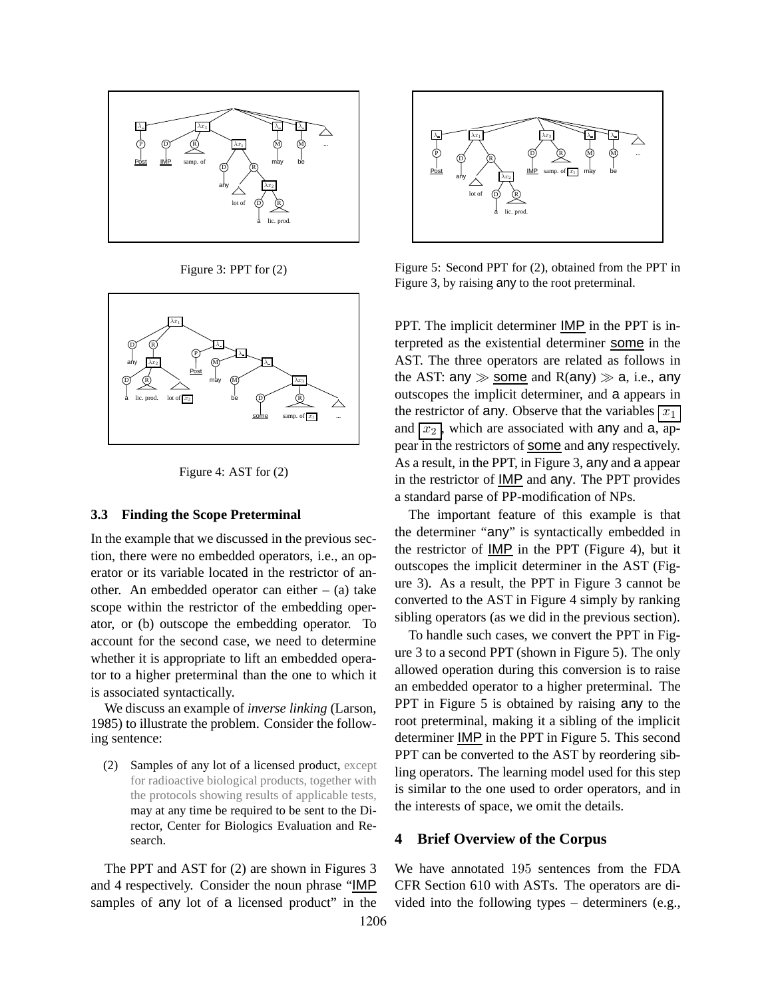

Figure 3: PPT for (2)





#### **3.3 Finding the Scope Preterminal**

In the example that we discussed in the previous section, there were no embedded operators, i.e., an operator or its variable located in the restrictor of another. An embedded operator can either  $-$  (a) take scope within the restrictor of the embedding operator, or (b) outscope the embedding operator. To account for the second case, we need to determine whether it is appropriate to lift an embedded operator to a higher preterminal than the one to which it is associated syntactically.

We discuss an example of *inverse linking* (Larson, 1985) to illustrate the problem. Consider the following sentence:

(2) Samples of any lot of a licensed product, except for radioactive biological products, together with the protocols showing results of applicable tests, may at any time be required to be sent to the Director, Center for Biologics Evaluation and Research.

The PPT and AST for (2) are shown in Figures 3 and 4 respectively. Consider the noun phrase "IMP samples of any lot of a licensed product" in the



Figure 5: Second PPT for (2), obtained from the PPT in Figure 3, by raising any to the root preterminal.

PPT. The implicit determiner **IMP** in the PPT is interpreted as the existential determiner some in the AST. The three operators are related as follows in the AST: any  $\gg$  some and R(any)  $\gg$  a, i.e., any outscopes the implicit determiner, and a appears in the restrictor of any. Observe that the variables  $\boxed{x_1}$ and  $\overline{x_2}$ , which are associated with any and a, appear in the restrictors of some and any respectively. As a result, in the PPT, in Figure 3, any and a appear in the restrictor of IMP and any. The PPT provides a standard parse of PP-modification of NPs.

The important feature of this example is that the determiner "any" is syntactically embedded in the restrictor of IMP in the PPT (Figure 4), but it outscopes the implicit determiner in the AST (Figure 3). As a result, the PPT in Figure 3 cannot be converted to the AST in Figure 4 simply by ranking sibling operators (as we did in the previous section).

To handle such cases, we convert the PPT in Figure 3 to a second PPT (shown in Figure 5). The only allowed operation during this conversion is to raise an embedded operator to a higher preterminal. The PPT in Figure 5 is obtained by raising any to the root preterminal, making it a sibling of the implicit determiner IMP in the PPT in Figure 5. This second PPT can be converted to the AST by reordering sibling operators. The learning model used for this step is similar to the one used to order operators, and in the interests of space, we omit the details.

### **4 Brief Overview of the Corpus**

We have annotated 195 sentences from the FDA CFR Section 610 with ASTs. The operators are divided into the following types – determiners (e.g.,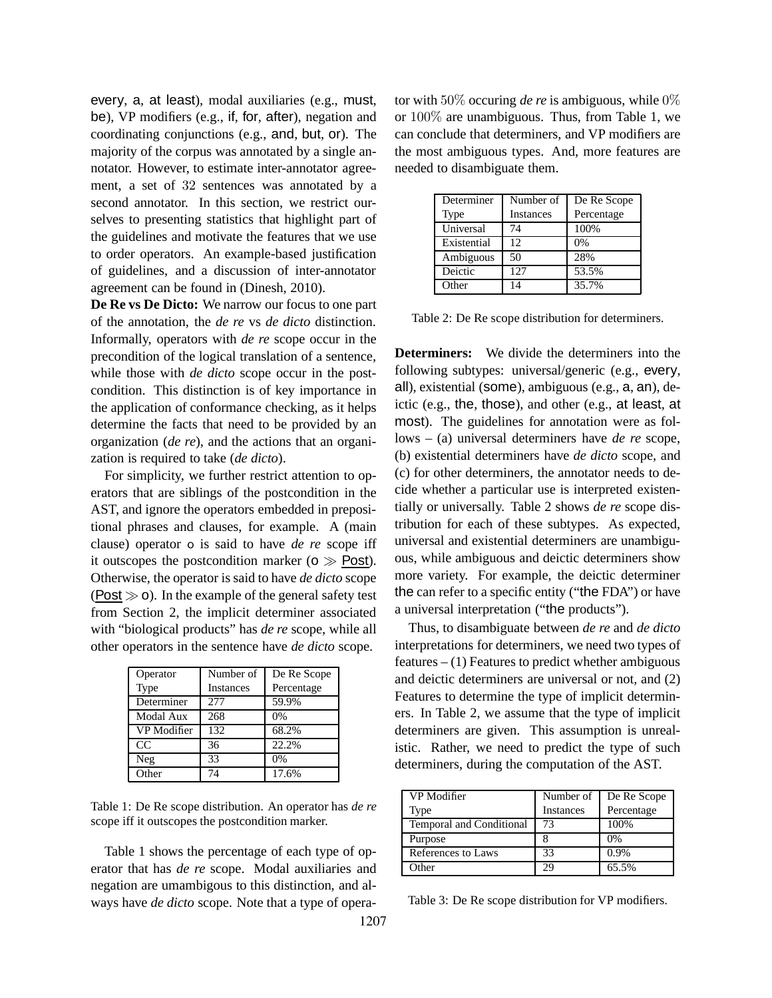every, a, at least), modal auxiliaries (e.g., must, be), VP modifiers (e.g., if, for, after), negation and coordinating conjunctions (e.g., and, but, or). The majority of the corpus was annotated by a single annotator. However, to estimate inter-annotator agreement, a set of 32 sentences was annotated by a second annotator. In this section, we restrict ourselves to presenting statistics that highlight part of the guidelines and motivate the features that we use to order operators. An example-based justification of guidelines, and a discussion of inter-annotator agreement can be found in (Dinesh, 2010).

**De Re vs De Dicto:** We narrow our focus to one part of the annotation, the *de re* vs *de dicto* distinction. Informally, operators with *de re* scope occur in the precondition of the logical translation of a sentence, while those with *de dicto* scope occur in the postcondition. This distinction is of key importance in the application of conformance checking, as it helps determine the facts that need to be provided by an organization (*de re*), and the actions that an organization is required to take (*de dicto*).

For simplicity, we further restrict attention to operators that are siblings of the postcondition in the AST, and ignore the operators embedded in prepositional phrases and clauses, for example. A (main clause) operator o is said to have *de re* scope iff it outscopes the postcondition marker ( $\sigma \gg$  Post). Otherwise, the operator is said to have *de dicto* scope  $(Post \gg o)$ . In the example of the general safety test from Section 2, the implicit determiner associated with "biological products" has *de re* scope, while all other operators in the sentence have *de dicto* scope.

| Operator         | Number of        | De Re Scope |
|------------------|------------------|-------------|
| Type             | <b>Instances</b> | Percentage  |
| Determiner       | 277              | 59.9%       |
| <b>Modal Aux</b> | 268              | 0%          |
| VP Modifier      | 132              | 68.2%       |
| CC               | 36               | 22.2%       |
| Neg              | 33               | 0%          |
| Other            | 74               | 17.6%       |

Table 1: De Re scope distribution. An operator has *de re* scope iff it outscopes the postcondition marker.

Table 1 shows the percentage of each type of operator that has *de re* scope. Modal auxiliaries and negation are umambigous to this distinction, and always have *de dicto* scope. Note that a type of operator with 50% occuring *de re* is ambiguous, while 0% or 100% are unambiguous. Thus, from Table 1, we can conclude that determiners, and VP modifiers are the most ambiguous types. And, more features are needed to disambiguate them.

| Determiner  | Number of        | De Re Scope |
|-------------|------------------|-------------|
| Type        | <b>Instances</b> | Percentage  |
| Universal   | 74               | 100%        |
| Existential | 12               | 0%          |
| Ambiguous   | 50               | 28%         |
| Deictic     | 127              | 53.5%       |
| Other       | 14               | 35.7%       |

Table 2: De Re scope distribution for determiners.

**Determiners:** We divide the determiners into the following subtypes: universal/generic (e.g., every, all), existential (some), ambiguous (e.g., a, an), deictic (e.g., the, those), and other (e.g., at least, at most). The guidelines for annotation were as follows – (a) universal determiners have *de re* scope, (b) existential determiners have *de dicto* scope, and (c) for other determiners, the annotator needs to decide whether a particular use is interpreted existentially or universally. Table 2 shows *de re* scope distribution for each of these subtypes. As expected, universal and existential determiners are unambiguous, while ambiguous and deictic determiners show more variety. For example, the deictic determiner the can refer to a specific entity ("the FDA") or have a universal interpretation ("the products").

Thus, to disambiguate between *de re* and *de dicto* interpretations for determiners, we need two types of features  $- (1)$  Features to predict whether ambiguous and deictic determiners are universal or not, and (2) Features to determine the type of implicit determiners. In Table 2, we assume that the type of implicit determiners are given. This assumption is unrealistic. Rather, we need to predict the type of such determiners, during the computation of the AST.

| VP Modifier              | Number of | De Re Scope |
|--------------------------|-----------|-------------|
| Type                     | Instances | Percentage  |
| Temporal and Conditional | 73        | 100%        |
| Purpose                  |           | 0%          |
| References to Laws       | 33        | 0.9%        |
| <b>Other</b>             | 29        | 65.5%       |

Table 3: De Re scope distribution for VP modifiers.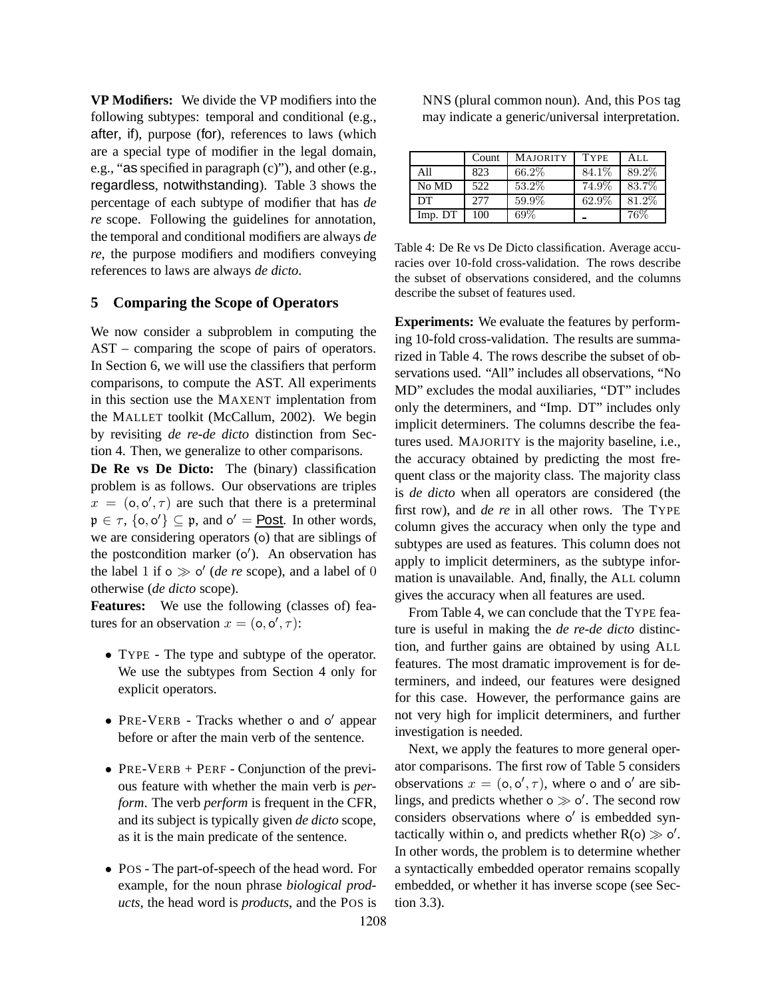**VP Modifiers:** We divide the VP modifiers into the following subtypes: temporal and conditional (e.g., after, if), purpose (for), references to laws (which are a special type of modifier in the legal domain, e.g., "as specified in paragraph (c)"), and other (e.g., regardless, notwithstanding). Table 3 shows the percentage of each subtype of modifier that has *de re* scope. Following the guidelines for annotation, the temporal and conditional modifiers are always *de re*, the purpose modifiers and modifiers conveying references to laws are always *de dicto*.

#### **5 Comparing the Scope of Operators**

We now consider a subproblem in computing the AST – comparing the scope of pairs of operators. In Section 6, we will use the classifiers that perform comparisons, to compute the AST. All experiments in this section use the MAXENT implentation from the MALLET toolkit (McCallum, 2002). We begin by revisiting *de re*-*de dicto* distinction from Section 4. Then, we generalize to other comparisons.

**De Re vs De Dicto:** The (binary) classification problem is as follows. Our observations are triples  $x = (0, 0', \tau)$  are such that there is a preterminal  $\mathfrak{p} \in \tau$ ,  $\{o, o'\} \subseteq \mathfrak{p}$ , and  $o' = \underline{\text{Post}}$ . In other words, we are considering operators (o) that are siblings of the postcondition marker (o ′ ). An observation has the label 1 if  $\circ \gg \circ'$  (*de re* scope), and a label of 0 otherwise (*de dicto* scope).

**Features:** We use the following (classes of) features for an observation  $x = (0, 0', \tau)$ :

- TYPE The type and subtype of the operator. We use the subtypes from Section 4 only for explicit operators.
- PRE-VERB Tracks whether o and o' appear before or after the main verb of the sentence.
- PRE-VERB + PERF Conjunction of the previous feature with whether the main verb is *perform*. The verb *perform* is frequent in the CFR, and its subject is typically given *de dicto* scope, as it is the main predicate of the sentence.
- POS The part-of-speech of the head word. For example, for the noun phrase *biological products*, the head word is *products*, and the POS is

NNS (plural common noun). And, this POS tag may indicate a generic/universal interpretation.

|         | Count | <b>MAJORITY</b> | <b>TYPE</b> | ALL   |
|---------|-------|-----------------|-------------|-------|
| All     | 823   | 66.2%           | 84.1%       | 89.2% |
| No MD   | 522   | 53.2%           | 74.9%       | 83.7% |
| DT      | 2.77  | 59.9%           | 62.9%       | 81.2% |
| Imp. DT | 100   | 69%             |             | 76%   |

Table 4: De Re vs De Dicto classification. Average accuracies over 10-fold cross-validation. The rows describe the subset of observations considered, and the columns describe the subset of features used.

**Experiments:** We evaluate the features by performing 10-fold cross-validation. The results are summarized in Table 4. The rows describe the subset of observations used. "All" includes all observations, "No MD" excludes the modal auxiliaries, "DT" includes only the determiners, and "Imp. DT" includes only implicit determiners. The columns describe the features used. MAJORITY is the majority baseline, i.e., the accuracy obtained by predicting the most frequent class or the majority class. The majority class is *de dicto* when all operators are considered (the first row), and *de re* in all other rows. The TYPE column gives the accuracy when only the type and subtypes are used as features. This column does not apply to implicit determiners, as the subtype information is unavailable. And, finally, the ALL column gives the accuracy when all features are used.

From Table 4, we can conclude that the TYPE feature is useful in making the *de re*-*de dicto* distinction, and further gains are obtained by using ALL features. The most dramatic improvement is for determiners, and indeed, our features were designed for this case. However, the performance gains are not very high for implicit determiners, and further investigation is needed.

Next, we apply the features to more general operator comparisons. The first row of Table 5 considers observations  $x = (0, 0', \tau)$ , where o and o' are siblings, and predicts whether  $\circ \gg \circ'$ . The second row considers observations where o ′ is embedded syntactically within o, and predicts whether  $R(o) \gg o'$ . In other words, the problem is to determine whether a syntactically embedded operator remains scopally embedded, or whether it has inverse scope (see Section 3.3).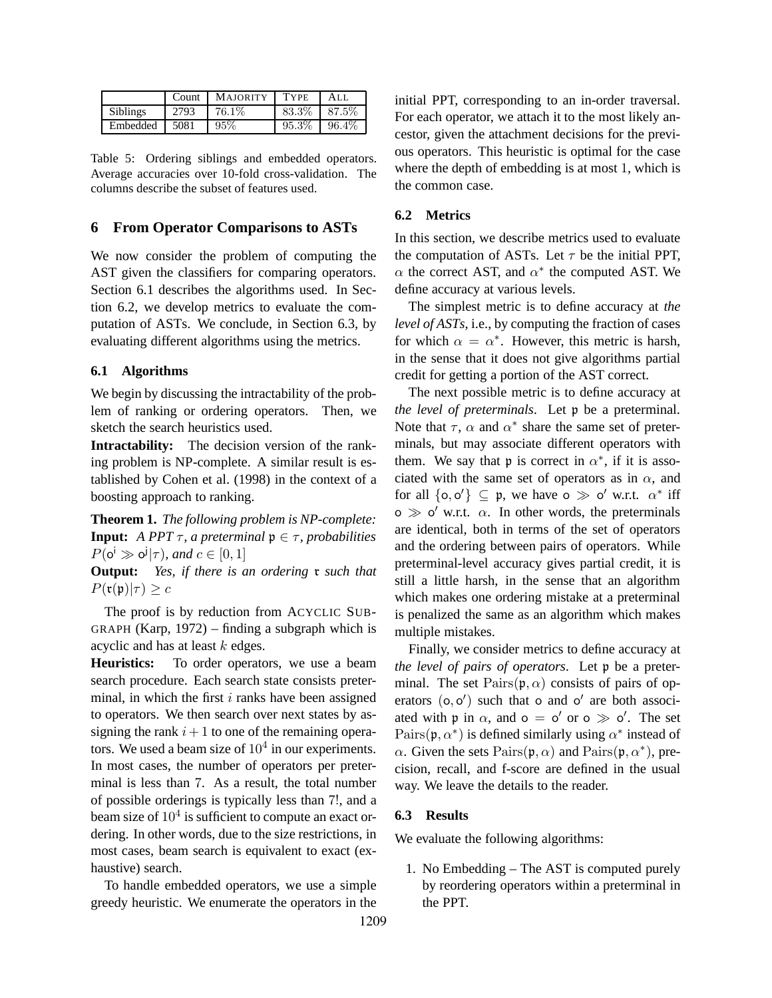|                 | Count | <b>MAJORITY</b> | <b>TYPE</b> | ALL      |
|-----------------|-------|-----------------|-------------|----------|
| <b>Siblings</b> | 2793  | 76.1\%          | 83.3%       | 87.5%    |
| Embedded        | 5081  | 95%             | 95.3%       | $96.4\%$ |

Table 5: Ordering siblings and embedded operators. Average accuracies over 10-fold cross-validation. The columns describe the subset of features used.

## **6 From Operator Comparisons to ASTs**

We now consider the problem of computing the AST given the classifiers for comparing operators. Section 6.1 describes the algorithms used. In Section 6.2, we develop metrics to evaluate the computation of ASTs. We conclude, in Section 6.3, by evaluating different algorithms using the metrics.

### **6.1 Algorithms**

We begin by discussing the intractability of the problem of ranking or ordering operators. Then, we sketch the search heuristics used.

**Intractability:** The decision version of the ranking problem is NP-complete. A similar result is established by Cohen et al. (1998) in the context of a boosting approach to ranking.

**Theorem 1.** *The following problem is NP-complete:* **Input:** *A PPT*  $\tau$ *, a preterminal*  $\mathfrak{p} \in \tau$ *, probabilities*  $P(\mathsf{o}^{\mathsf{i}} \gg \mathsf{o}^{\mathsf{j}} | \tau)$ *, and*  $c \in [0,1]$ 

**Output:** *Yes, if there is an ordering* r *such that*  $P(\mathfrak{r}(\mathfrak{p})|\tau) \geq c$ 

The proof is by reduction from ACYCLIC SUB-GRAPH (Karp, 1972) – finding a subgraph which is acyclic and has at least k edges.

**Heuristics:** To order operators, we use a beam search procedure. Each search state consists preterminal, in which the first  $i$  ranks have been assigned to operators. We then search over next states by assigning the rank  $i+1$  to one of the remaining operators. We used a beam size of  $10^4$  in our experiments. In most cases, the number of operators per preterminal is less than 7. As a result, the total number of possible orderings is typically less than 7!, and a beam size of  $10^4$  is sufficient to compute an exact ordering. In other words, due to the size restrictions, in most cases, beam search is equivalent to exact (exhaustive) search.

To handle embedded operators, we use a simple greedy heuristic. We enumerate the operators in the

initial PPT, corresponding to an in-order traversal. For each operator, we attach it to the most likely ancestor, given the attachment decisions for the previous operators. This heuristic is optimal for the case where the depth of embedding is at most 1, which is the common case.

### **6.2 Metrics**

In this section, we describe metrics used to evaluate the computation of ASTs. Let  $\tau$  be the initial PPT,  $\alpha$  the correct AST, and  $\alpha^*$  the computed AST. We define accuracy at various levels.

The simplest metric is to define accuracy at *the level of ASTs*, i.e., by computing the fraction of cases for which  $\alpha = \alpha^*$ . However, this metric is harsh, in the sense that it does not give algorithms partial credit for getting a portion of the AST correct.

The next possible metric is to define accuracy at *the level of preterminals*. Let p be a preterminal. Note that  $\tau$ ,  $\alpha$  and  $\alpha^*$  share the same set of preterminals, but may associate different operators with them. We say that p is correct in  $\alpha^*$ , if it is associated with the same set of operators as in  $\alpha$ , and for all  $\{0, 0'\} \subseteq \mathfrak{p}$ , we have  $0 \gg 0'$  w.r.t.  $\alpha^*$  iff  $\infty \gg o'$  w.r.t.  $\alpha$ . In other words, the preterminals are identical, both in terms of the set of operators and the ordering between pairs of operators. While preterminal-level accuracy gives partial credit, it is still a little harsh, in the sense that an algorithm which makes one ordering mistake at a preterminal is penalized the same as an algorithm which makes multiple mistakes.

Finally, we consider metrics to define accuracy at *the level of pairs of operators*. Let p be a preterminal. The set  $\text{Pairs}(\mathfrak{p}, \alpha)$  consists of pairs of operators  $(o, o')$  such that o and o' are both associated with  $\mathfrak{p}$  in  $\alpha$ , and  $o = o'$  or  $o \gg o'$ . The set Pairs( $\mathfrak{p}, \alpha^*$ ) is defined similarly using  $\alpha^*$  instead of  $\alpha$ . Given the sets  $\text{Pairs}(\mathfrak{p}, \alpha)$  and  $\text{Pairs}(\mathfrak{p}, \alpha^*)$ , precision, recall, and f-score are defined in the usual way. We leave the details to the reader.

### **6.3 Results**

1209

We evaluate the following algorithms:

1. No Embedding – The AST is computed purely by reordering operators within a preterminal in the PPT.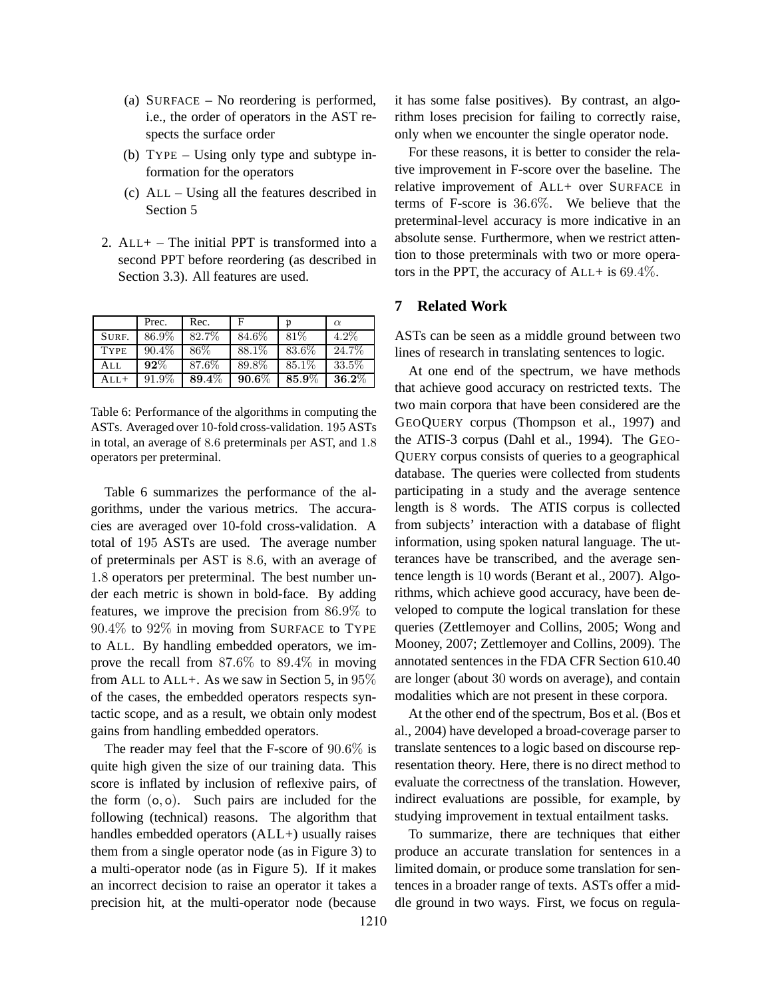- (a) SURFACE No reordering is performed, i.e., the order of operators in the AST respects the surface order
- (b) TYPE Using only type and subtype information for the operators
- (c) ALL Using all the features described in Section 5
- 2.  $ALL + The initial PPT is transformed into a$ second PPT before reordering (as described in Section 3.3). All features are used.

|             | Prec.    | Rec.  | F        | ŋ      | $\alpha$ |
|-------------|----------|-------|----------|--------|----------|
| SURF.       | 86.9%    | 82.7% | 84.6%    | 81\%   | $4.2\%$  |
| <b>TYPE</b> | $90.4\%$ | 86\%  | 88.1\%   | 83.6%  | 24.7%    |
| All         | $92\%$   | 87.6% | 89.8%    | 85.1\% | 33.5%    |
| $ALL+$      | 91.9%    | 89.4% | $90.6\%$ | 85.9%  | $36.2\%$ |

Table 6: Performance of the algorithms in computing the ASTs. Averaged over 10-fold cross-validation. 195 ASTs in total, an average of 8.6 preterminals per AST, and 1.8 operators per preterminal.

Table 6 summarizes the performance of the algorithms, under the various metrics. The accuracies are averaged over 10-fold cross-validation. A total of 195 ASTs are used. The average number of preterminals per AST is 8.6, with an average of 1.8 operators per preterminal. The best number under each metric is shown in bold-face. By adding features, we improve the precision from 86.9% to 90.4% to 92% in moving from SURFACE to TYPE to ALL. By handling embedded operators, we improve the recall from 87.6% to 89.4% in moving from ALL to ALL+. As we saw in Section 5, in 95% of the cases, the embedded operators respects syntactic scope, and as a result, we obtain only modest gains from handling embedded operators.

The reader may feel that the F-score of 90.6% is quite high given the size of our training data. This score is inflated by inclusion of reflexive pairs, of the form (o, o). Such pairs are included for the following (technical) reasons. The algorithm that handles embedded operators  $(ALL+)$  usually raises them from a single operator node (as in Figure 3) to a multi-operator node (as in Figure 5). If it makes an incorrect decision to raise an operator it takes a precision hit, at the multi-operator node (because it has some false positives). By contrast, an algorithm loses precision for failing to correctly raise, only when we encounter the single operator node.

For these reasons, it is better to consider the relative improvement in F-score over the baseline. The relative improvement of ALL+ over SURFACE in terms of F-score is 36.6%. We believe that the preterminal-level accuracy is more indicative in an absolute sense. Furthermore, when we restrict attention to those preterminals with two or more operators in the PPT, the accuracy of  $ALL+$  is 69.4%.

### **7 Related Work**

ASTs can be seen as a middle ground between two lines of research in translating sentences to logic.

At one end of the spectrum, we have methods that achieve good accuracy on restricted texts. The two main corpora that have been considered are the GEOQUERY corpus (Thompson et al., 1997) and the ATIS-3 corpus (Dahl et al., 1994). The GEO-QUERY corpus consists of queries to a geographical database. The queries were collected from students participating in a study and the average sentence length is 8 words. The ATIS corpus is collected from subjects' interaction with a database of flight information, using spoken natural language. The utterances have be transcribed, and the average sentence length is 10 words (Berant et al., 2007). Algorithms, which achieve good accuracy, have been developed to compute the logical translation for these queries (Zettlemoyer and Collins, 2005; Wong and Mooney, 2007; Zettlemoyer and Collins, 2009). The annotated sentences in the FDA CFR Section 610.40 are longer (about 30 words on average), and contain modalities which are not present in these corpora.

At the other end of the spectrum, Bos et al. (Bos et al., 2004) have developed a broad-coverage parser to translate sentences to a logic based on discourse representation theory. Here, there is no direct method to evaluate the correctness of the translation. However, indirect evaluations are possible, for example, by studying improvement in textual entailment tasks.

To summarize, there are techniques that either produce an accurate translation for sentences in a limited domain, or produce some translation for sentences in a broader range of texts. ASTs offer a middle ground in two ways. First, we focus on regula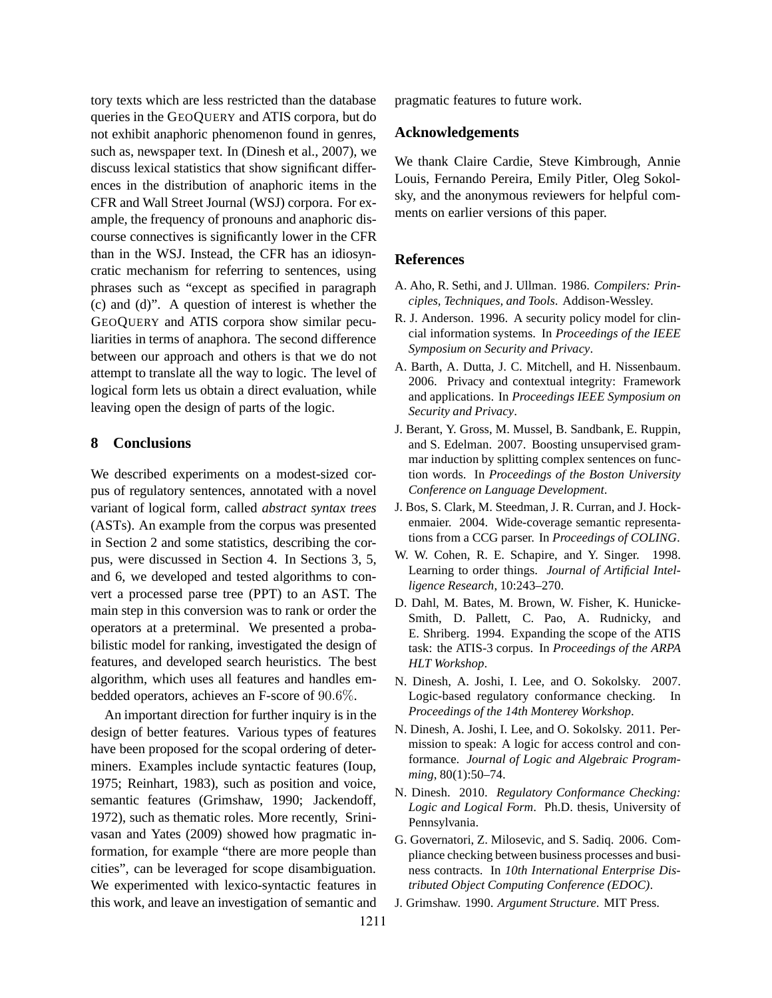tory texts which are less restricted than the database queries in the GEOQUERY and ATIS corpora, but do not exhibit anaphoric phenomenon found in genres, such as, newspaper text. In (Dinesh et al., 2007), we discuss lexical statistics that show significant differences in the distribution of anaphoric items in the CFR and Wall Street Journal (WSJ) corpora. For example, the frequency of pronouns and anaphoric discourse connectives is significantly lower in the CFR than in the WSJ. Instead, the CFR has an idiosyncratic mechanism for referring to sentences, using phrases such as "except as specified in paragraph (c) and (d)". A question of interest is whether the GEOQUERY and ATIS corpora show similar peculiarities in terms of anaphora. The second difference between our approach and others is that we do not attempt to translate all the way to logic. The level of logical form lets us obtain a direct evaluation, while leaving open the design of parts of the logic.

### **8 Conclusions**

We described experiments on a modest-sized corpus of regulatory sentences, annotated with a novel variant of logical form, called *abstract syntax trees* (ASTs). An example from the corpus was presented in Section 2 and some statistics, describing the corpus, were discussed in Section 4. In Sections 3, 5, and 6, we developed and tested algorithms to convert a processed parse tree (PPT) to an AST. The main step in this conversion was to rank or order the operators at a preterminal. We presented a probabilistic model for ranking, investigated the design of features, and developed search heuristics. The best algorithm, which uses all features and handles embedded operators, achieves an F-score of 90.6%.

An important direction for further inquiry is in the design of better features. Various types of features have been proposed for the scopal ordering of determiners. Examples include syntactic features (Ioup, 1975; Reinhart, 1983), such as position and voice, semantic features (Grimshaw, 1990; Jackendoff, 1972), such as thematic roles. More recently, Srinivasan and Yates (2009) showed how pragmatic information, for example "there are more people than cities", can be leveraged for scope disambiguation. We experimented with lexico-syntactic features in this work, and leave an investigation of semantic and pragmatic features to future work.

#### **Acknowledgements**

We thank Claire Cardie, Steve Kimbrough, Annie Louis, Fernando Pereira, Emily Pitler, Oleg Sokolsky, and the anonymous reviewers for helpful comments on earlier versions of this paper.

#### **References**

- A. Aho, R. Sethi, and J. Ullman. 1986. *Compilers: Principles, Techniques, and Tools*. Addison-Wessley.
- R. J. Anderson. 1996. A security policy model for clincial information systems. In *Proceedings of the IEEE Symposium on Security and Privacy*.
- A. Barth, A. Dutta, J. C. Mitchell, and H. Nissenbaum. 2006. Privacy and contextual integrity: Framework and applications. In *Proceedings IEEE Symposium on Security and Privacy*.
- J. Berant, Y. Gross, M. Mussel, B. Sandbank, E. Ruppin, and S. Edelman. 2007. Boosting unsupervised grammar induction by splitting complex sentences on function words. In *Proceedings of the Boston University Conference on Language Development*.
- J. Bos, S. Clark, M. Steedman, J. R. Curran, and J. Hockenmaier. 2004. Wide-coverage semantic representations from a CCG parser. In *Proceedings of COLING*.
- W. W. Cohen, R. E. Schapire, and Y. Singer. 1998. Learning to order things. *Journal of Artificial Intelligence Research*, 10:243–270.
- D. Dahl, M. Bates, M. Brown, W. Fisher, K. Hunicke-Smith, D. Pallett, C. Pao, A. Rudnicky, and E. Shriberg. 1994. Expanding the scope of the ATIS task: the ATIS-3 corpus. In *Proceedings of the ARPA HLT Workshop*.
- N. Dinesh, A. Joshi, I. Lee, and O. Sokolsky. 2007. Logic-based regulatory conformance checking. In *Proceedings of the 14th Monterey Workshop*.
- N. Dinesh, A. Joshi, I. Lee, and O. Sokolsky. 2011. Permission to speak: A logic for access control and conformance. *Journal of Logic and Algebraic Programming*, 80(1):50–74.
- N. Dinesh. 2010. *Regulatory Conformance Checking: Logic and Logical Form*. Ph.D. thesis, University of Pennsylvania.
- G. Governatori, Z. Milosevic, and S. Sadiq. 2006. Compliance checking between business processes and business contracts. In *10th International Enterprise Distributed Object Computing Conference (EDOC)*.
- J. Grimshaw. 1990. *Argument Structure*. MIT Press.